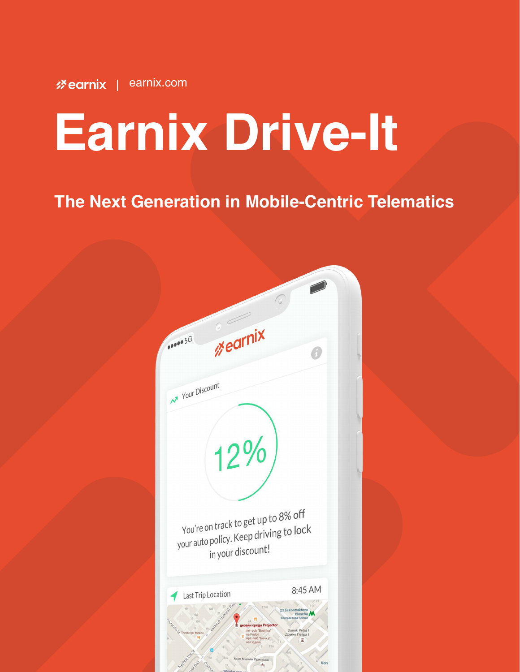# **Earnix Drive-It**

# The Next Generation in Mobile-Centric Telematics

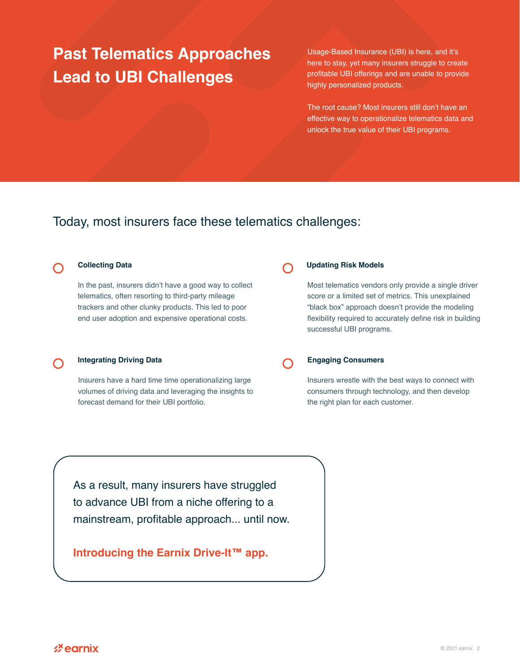# **Past Telematics Approaches Lead to UBI Challenges**

Usage-Based Insurance (UBI) is here, and it's here to stay, yet many insurers struggle to create profitable UBI offerings and are unable to provide highly personalized products.

The root cause? Most insurers still don't have an effective way to operationalize telematics data and unlock the true value of their UBI programs.

## Today, most insurers face these telematics challenges:

 $\bigcap$ 

#### **Collecting Data**

In the past, insurers didn't have a good way to collect telematics, often resorting to third-party mileage trackers and other clunky products. This led to poor end user adoption and expensive operational costs.

#### **Integrating Driving Data**

Insurers have a hard time time operationalizing large volumes of driving data and leveraging the insights to forecast demand for their UBI portfolio.

#### **Updating Risk Models**

Most telematics vendors only provide a single driver score or a limited set of metrics. This unexplained "black box" approach doesn't provide the modeling flexibility required to accurately define risk in building successful UBI programs.

#### **Engaging Consumers**

Insurers wrestle with the best ways to connect with consumers through technology, and then develop the right plan for each customer.

As a result, many insurers have struggled to advance UBI from a niche offering to a mainstream, profitable approach... until now.

### **Introducing the Earnix Drive-It™ app.**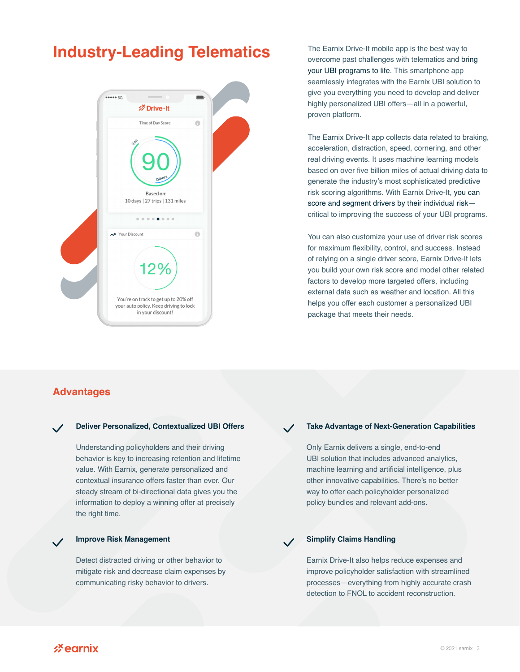# **Industry-Leading Telematics** The Earnix Drive-It mobile app is the best way to



overcome past challenges with telematics and bring your UBI programs to life. This smartphone app seamlessly integrates with the Earnix UBI solution to give you everything you need to develop and deliver highly personalized UBI offers—all in a powerful, proven platform.

The Earnix Drive-It app collects data related to braking, acceleration, distraction, speed, cornering, and other real driving events. It uses machine learning models based on over five billion miles of actual driving data to generate the industry's most sophisticated predictive risk scoring algorithms. With Earnix Drive-It, you can score and segment drivers by their individual risk critical to improving the success of your UBI programs.

You can also customize your use of driver risk scores for maximum flexibility, control, and success. Instead of relying on a single driver score, Earnix Drive-It lets you build your own risk score and model other related factors to develop more targeted offers, including external data such as weather and location. All this helps you offer each customer a personalized UBI package that meets their needs.

#### **Advantages**

#### **Deliver Personalized, Contextualized UBI Offers**

Understanding policyholders and their driving behavior is key to increasing retention and lifetime value. With Earnix, generate personalized and contextual insurance offers faster than ever. Our steady stream of bi-directional data gives you the information to deploy a winning offer at precisely the right time.

#### **Improve Risk Management**

Detect distracted driving or other behavior to mitigate risk and decrease claim expenses by communicating risky behavior to drivers.

#### **Take Advantage of Next-Generation Capabilities**

Only Earnix delivers a single, end-to-end UBI solution that includes advanced analytics, machine learning and artificial intelligence, plus other innovative capabilities. There's no better way to offer each policyholder personalized policy bundles and relevant add-ons.

#### **Simplify Claims Handling**

Earnix Drive-It also helps reduce expenses and improve policyholder satisfaction with streamlined processes—everything from highly accurate crash detection to FNOL to accident reconstruction.

 $\mathscr{E}$  earnix